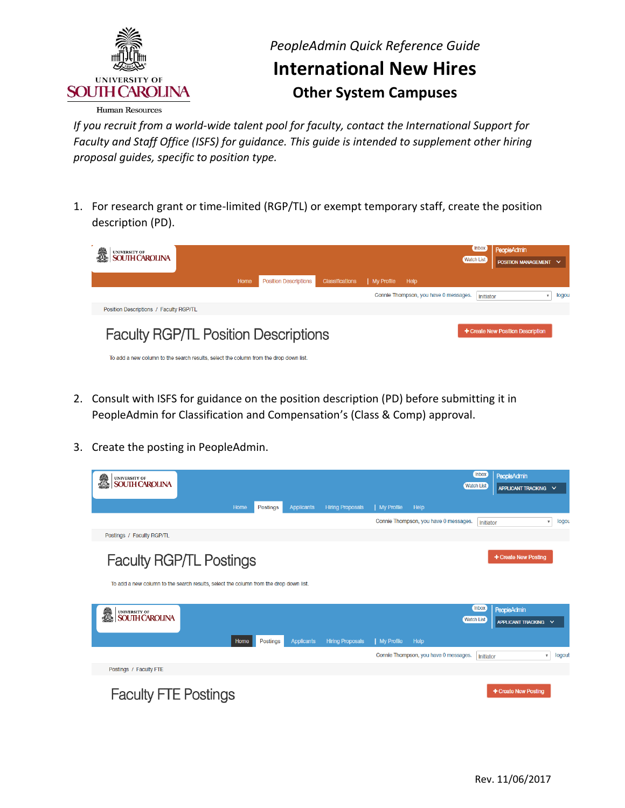

#### **Human Resources**

 *If you recruit from a world-wide talent pool for faculty, contact the International Support for Faculty and Staff Office (ISFS) for guidance. This guide is intended to supplement other hiring proposal guides, specific to position type.* 

 1. For research grant or time-limited (RGP/TL) or exempt temporary staff, create the position description (PD).



- 2. Consult with ISFS for guidance on the position description (PD) before submitting it in PeopleAdmin for Classification and Compensation's (Class & Comp) approval.
- 3. Create the posting in PeopleAdmin.

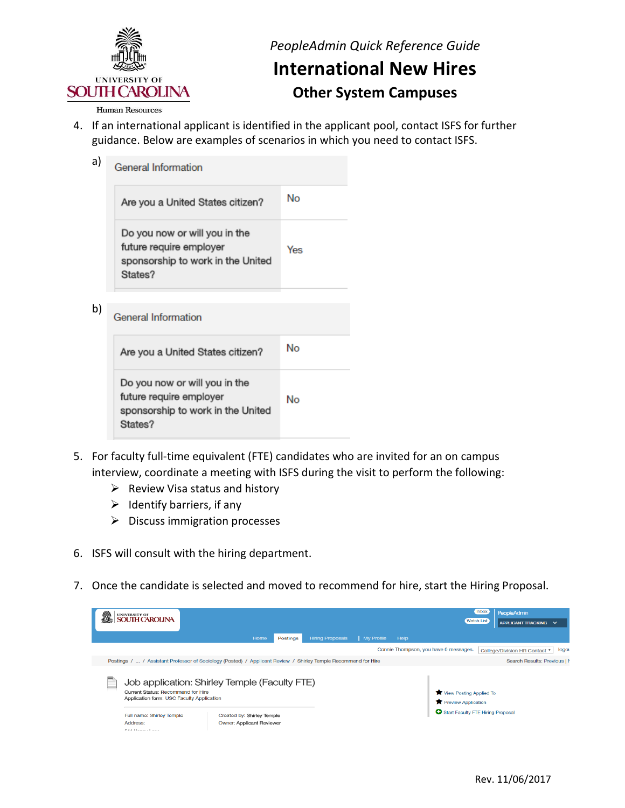

#### *PeopleAdmin Quick Reference Guide*

#### **International New Hires Other System Campuses**

#### Human Resources

 4. If an international applicant is identified in the applicant pool, contact ISFS for further guidance. Below are examples of scenarios in which you need to contact ISFS.

| a) | <b>General Information</b>                                                                               |     |
|----|----------------------------------------------------------------------------------------------------------|-----|
|    | Are you a United States citizen?                                                                         | No  |
|    | Do you now or will you in the<br>future require employer<br>sponsorship to work in the United<br>States? | Yes |
|    |                                                                                                          |     |
| b) | <b>General Information</b>                                                                               |     |
|    | Are you a United States citizen?                                                                         | No  |
|    | Do you now or will you in the<br>future require employer<br>sponsorship to work in the United<br>States? | No  |
|    |                                                                                                          |     |

- 5. For faculty full-time equivalent (FTE) candidates who are invited for an on campus interview, coordinate a meeting with ISFS during the visit to perform the following:
	- $\triangleright$  Review Visa status and history
	- $\triangleright$  Identify barriers, if any
	- $\triangleright$  Discuss immigration processes
- 6. ISFS will consult with the hiring department.
- 7. Once the candidate is selected and moved to recommend for hire, start the Hiring Proposal.

| ã | UNIVERSITY OF<br>SOUTH CAROLINA                                                                                                                                           |                                                                |          |                         |            |      |                                                                                              | Inbox<br><b>Watch List</b> | <b>PeopleAdmin</b><br>APPLICANT TRACKING V |       |
|---|---------------------------------------------------------------------------------------------------------------------------------------------------------------------------|----------------------------------------------------------------|----------|-------------------------|------------|------|----------------------------------------------------------------------------------------------|----------------------------|--------------------------------------------|-------|
|   |                                                                                                                                                                           | Home                                                           | Postings | <b>Hiring Proposals</b> | My Profile | Help |                                                                                              |                            |                                            |       |
|   |                                                                                                                                                                           |                                                                |          |                         |            |      | Connie Thompson, you have 0 messages.                                                        |                            | College/Division HR Contact ▼              | logot |
|   | Postings /  / Assistant Professor of Sociology (Posted) / Applicant Review / Shirley Temple Recommend for Hire                                                            |                                                                |          |                         |            |      |                                                                                              |                            | Search Results: Previous   M               |       |
|   | Job application: Shirley Temple (Faculty FTE)<br>Current Status: Recommend for Hire<br>Application form: USC Faculty Application<br>Full name: Shirley Temple<br>Address: | Created by: Shirley Temple<br><b>Owner: Applicant Reviewer</b> |          |                         |            |      | View Posting Applied To<br><b>T</b> Preview Application<br>Start Faculty FTE Hiring Proposal |                            |                                            |       |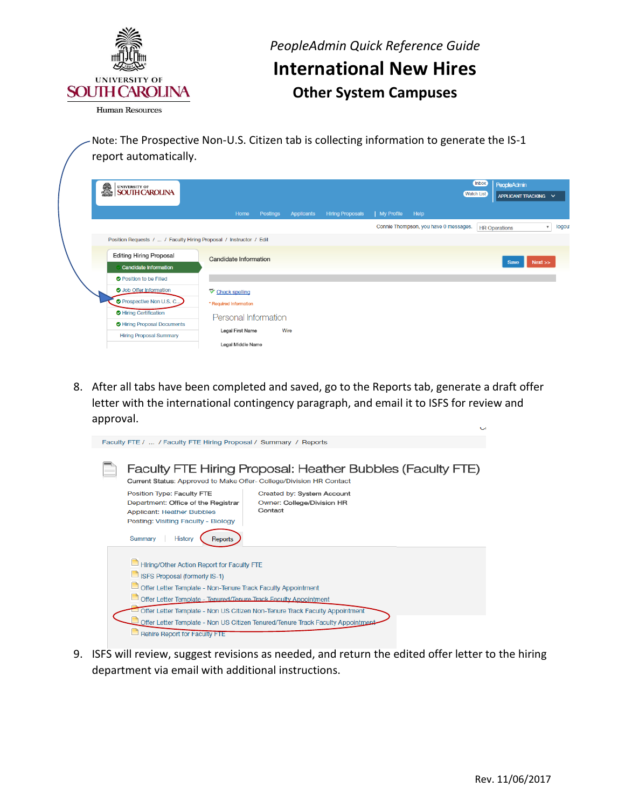

**Human Resources** 

 Note: The Prospective Non-U.S. Citizen tab is collecting information to generate the IS-1 report automatically.

| i.<br>UNIVERSITY OF<br>SOUTH CAROLINA                              |                              |            |                         |            |                                       | Inbox<br><b>Watch List</b> | PeopleAdmin<br>APPLICANT TRACKING V |                       |
|--------------------------------------------------------------------|------------------------------|------------|-------------------------|------------|---------------------------------------|----------------------------|-------------------------------------|-----------------------|
|                                                                    | Home<br><b>Postings</b>      | Applicants | <b>Hiring Proposals</b> | My Profile | Help                                  |                            |                                     |                       |
|                                                                    |                              |            |                         |            | Connie Thompson, you have 0 messages. |                            | <b>HR Operations</b>                | logou<br>$\mathbf{v}$ |
| Position Requests /  / Faculty Hiring Proposal / Instructor / Edit |                              |            |                         |            |                                       |                            |                                     |                       |
| <b>Editing Hiring Proposal</b><br><b>Candidate Information</b>     | <b>Candidate Information</b> |            |                         |            |                                       |                            | Next<br>Save                        |                       |
| <b>O</b> Position to be Filled                                     |                              |            |                         |            |                                       |                            |                                     |                       |
| O Job Offer Information                                            | Check spelling               |            |                         |            |                                       |                            |                                     |                       |
| <b>O</b> Prospective Non U.S. C                                    | * Required Information       |            |                         |            |                                       |                            |                                     |                       |
| Hiring Certification                                               | Personal Information         |            |                         |            |                                       |                            |                                     |                       |
| Hiring Proposal Documents                                          | Wire<br>Legal First Name     |            |                         |            |                                       |                            |                                     |                       |
| <b>Hiring Proposal Summary</b>                                     | Legal Middle Name            |            |                         |            |                                       |                            |                                     |                       |

 8. After all tabs have been completed and saved, go to the Reports tab, generate a draft offer letter with the international contingency paragraph, and email it to ISFS for review and approval.  $\ddot{\phantom{0}}$ 

| Faculty FTE /  / Faculty FTE Hiring Proposal / Summary / Reports                                                                                                                                                     |
|----------------------------------------------------------------------------------------------------------------------------------------------------------------------------------------------------------------------|
| Faculty FTE Hiring Proposal: Heather Bubbles (Faculty FTE)<br>Current Status: Approved to Make Offer- College/Division HR Contact                                                                                    |
| Position Type: Faculty FTE<br>Created by: System Account<br>Department: Office of the Registrar<br>Owner: College/Division HR<br>Contact<br><b>Applicant: Heather Bubbles</b><br>Posting: Visiting Faculty - Biology |
| Summary<br>History                                                                                                                                                                                                   |
| Hiring/Other Action Report for Faculty FTE                                                                                                                                                                           |
| <b>ISFS Proposal (formerly IS-1)</b>                                                                                                                                                                                 |
| Offer Letter Template - Non-Tenure Track Faculty Appointment                                                                                                                                                         |
| Offer Letter Template - Tenured/Tenure Track Faculty Appointment                                                                                                                                                     |
| Offer Letter Template - Non US Citizen Non-Tenure Track Faculty Appointment                                                                                                                                          |
| Offer Letter Template - Non US Citizen Tenured/Tenure Track Faculty Appointment                                                                                                                                      |
| Rehire Report for Faculty FTE                                                                                                                                                                                        |

 9. ISFS will review, suggest revisions as needed, and return the edited offer letter to the hiring department via email with additional instructions.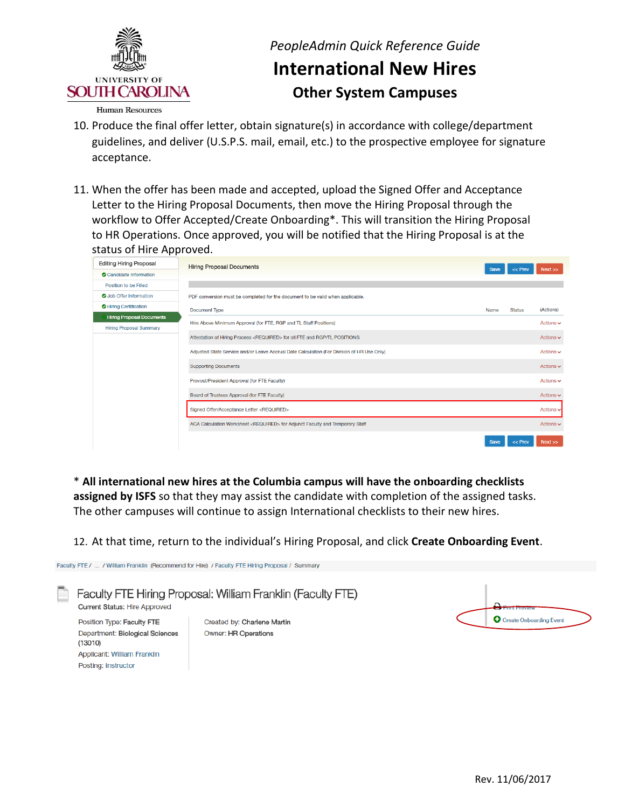

**Human Resources** 

- 10. Produce the final offer letter, obtain signature(s) in accordance with college/department guidelines, and deliver (U.S.P.S. mail, email, etc.) to the prospective employee for signature acceptance.
- 11. When the offer has been made and accepted, upload the Signed Offer and Acceptance Letter to the Hiring Proposal Documents, then move the Hiring Proposal through the workflow to Offer Accepted/Create Onboarding\*. This will transition the Hiring Proposal to HR Operations. Once approved, you will be notified that the Hiring Proposal is at the status of Hire Approved.

| <b>Editing Hiring Proposal</b>   | <b>Hiring Proposal Documents</b>                                                           | <b>Save</b> | $<<$ Prev     | Next                          |
|----------------------------------|--------------------------------------------------------------------------------------------|-------------|---------------|-------------------------------|
| Candidate Information            |                                                                                            |             |               |                               |
| Position to be Filled            |                                                                                            |             |               |                               |
| <b>O</b> Job Offer Information   | PDF conversion must be completed for the document to be valid when applicable.             |             |               |                               |
| Hiring Certification             | <b>Document Type</b>                                                                       | <b>Name</b> | <b>Status</b> | (Actions)                     |
| <b>Hiring Proposal Documents</b> | Hire Above Minimum Approval (for FTE, RGP and TL Staff Positions)                          |             |               | Actions $\vee$                |
| <b>Hiring Proposal Summary</b>   |                                                                                            |             |               |                               |
|                                  | Attestation of Hiring Process <required> for all FTE and RGP/TL POSITIONS</required>       |             |               | Actions $\vee$                |
|                                  | Adjusted State Service and/or Leave Accrual Date Calculation (For Division of HR Use Only) |             |               | Actions $\vee$                |
|                                  | <b>Supporting Documents</b>                                                                |             |               | Actions $\sim$                |
|                                  | Provost/President Approval (for FTE Faculty)                                               |             |               | Actions $\sim$                |
|                                  | Board of Trustees Approval (for FTE Faculty)                                               |             |               | Actions $\sim$                |
|                                  | Signed Offer/Acceptance Letter <required></required>                                       |             |               | Actions v                     |
|                                  | ACA Calculation Worksheet <required> for Adjunct Faculty and Temporary Staff</required>    |             |               | Actions $\mathbf{\mathsf{v}}$ |
|                                  |                                                                                            | <b>Save</b> | $<<$ Prev     | Next                          |

 \* **All international new hires at the Columbia campus will have the onboarding checklists assigned by ISFS** so that they may assist the candidate with completion of the assigned tasks. The other campuses will continue to assign International checklists to their new hires.

12. At that time, return to the individual's Hiring Proposal, and click **Create Onboarding Event**.

Faculty FTE / ... / William Franklin (Recommend for Hire) / Faculty FTE Hiring Proposal / Summary Faculty FTE Hiring Proposal: William Franklin (Faculty FTE) Current Status: Hire Approved **O** Create Onboarding Event Position Type: Faculty FTE Created by: Charlene Martin Department: Biological Sciences Owner: HR Operations  $(13010)$ Applicant: William Franklin Posting: Instructor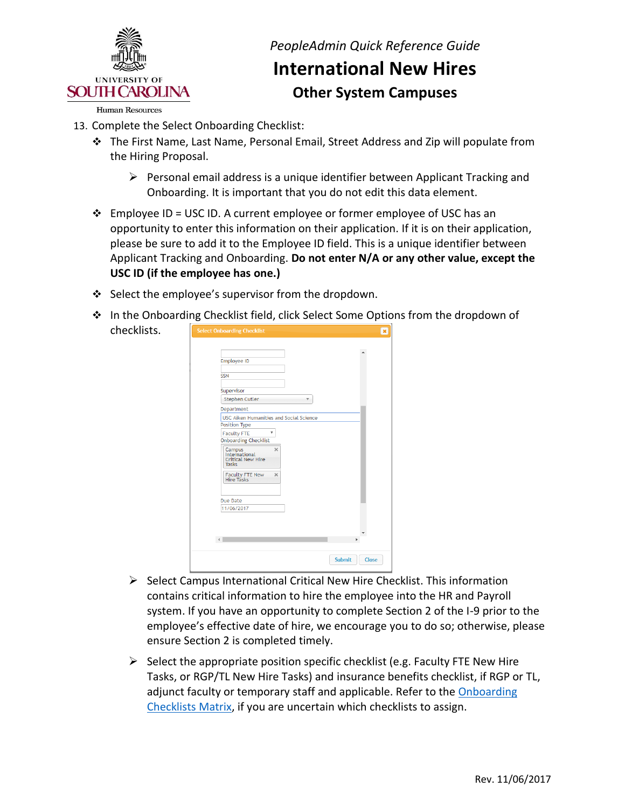

**Human Resources** 

- 13. Complete the Select Onboarding Checklist:
	- The First Name, Last Name, Personal Email, Street Address and Zip will populate from the Hiring Proposal.
		- $\triangleright$  Personal email address is a unique identifier between Applicant Tracking and Onboarding. It is important that you do not edit this data element.
	- $\div$  Employee ID = USC ID. A current employee or former employee of USC has an opportunity to enter this information on their application. If it is on their application, please be sure to add it to the Employee ID field. This is a unique identifier between  Applicant Tracking and Onboarding. **Do not enter N/A or any other value, except the USC ID (if the employee has one.)**
	- $\div$  Select the employee's supervisor from the dropdown.
	- ◆ In the Onboarding Checklist field, click Select Some Options from the dropdown of chec

| Employee ID<br><b>SSN</b><br>Supervisor<br><b>Stephen Cutler</b><br>$\overline{\mathbf{v}}$<br>Department<br>USC Aiken Humanities and Social Science<br>Position Type<br>۷<br><b>Faculty FTE</b><br><b>Onboarding Checklist</b><br>Campus<br>International<br>$\times$<br><b>Critical New Hire</b><br><b>Tasks</b><br>Faculty FTE New<br>Hire Tasks<br>$\times$<br><b>Due Date</b><br>11/06/2017<br>$\left($ | $\overline{\mathbf{x}}$ |
|--------------------------------------------------------------------------------------------------------------------------------------------------------------------------------------------------------------------------------------------------------------------------------------------------------------------------------------------------------------------------------------------------------------|-------------------------|
|                                                                                                                                                                                                                                                                                                                                                                                                              |                         |
|                                                                                                                                                                                                                                                                                                                                                                                                              |                         |
|                                                                                                                                                                                                                                                                                                                                                                                                              |                         |
|                                                                                                                                                                                                                                                                                                                                                                                                              |                         |
|                                                                                                                                                                                                                                                                                                                                                                                                              |                         |
|                                                                                                                                                                                                                                                                                                                                                                                                              |                         |
|                                                                                                                                                                                                                                                                                                                                                                                                              |                         |
|                                                                                                                                                                                                                                                                                                                                                                                                              |                         |
|                                                                                                                                                                                                                                                                                                                                                                                                              |                         |
|                                                                                                                                                                                                                                                                                                                                                                                                              |                         |
|                                                                                                                                                                                                                                                                                                                                                                                                              |                         |
|                                                                                                                                                                                                                                                                                                                                                                                                              |                         |
|                                                                                                                                                                                                                                                                                                                                                                                                              |                         |
|                                                                                                                                                                                                                                                                                                                                                                                                              |                         |

- contains critical information to hire the employee into the HR and Payroll system. If you have an opportunity to complete Section 2 of the I-9 prior to the employee's effective date of hire, we encourage you to do so; otherwise, please ensure Section 2 is completed timely.  $\triangleright$  Select Campus International Critical New Hire Checklist. This information
- $\triangleright$  Select the appropriate position specific checklist (e.g. Faculty FTE New Hire Tasks, or RGP/TL New Hire Tasks) and insurance benefits checklist, if RGP or TL, adjunct faculty or temporary staff and applicable. Refer to the **Onboarding** [Checklists Matrix,](http://www.sc.edu/about/offices_and_divisions/human_resources/docs/pa_onboarding_checklists_matrix.pdf) if you are uncertain which checklists to assign.